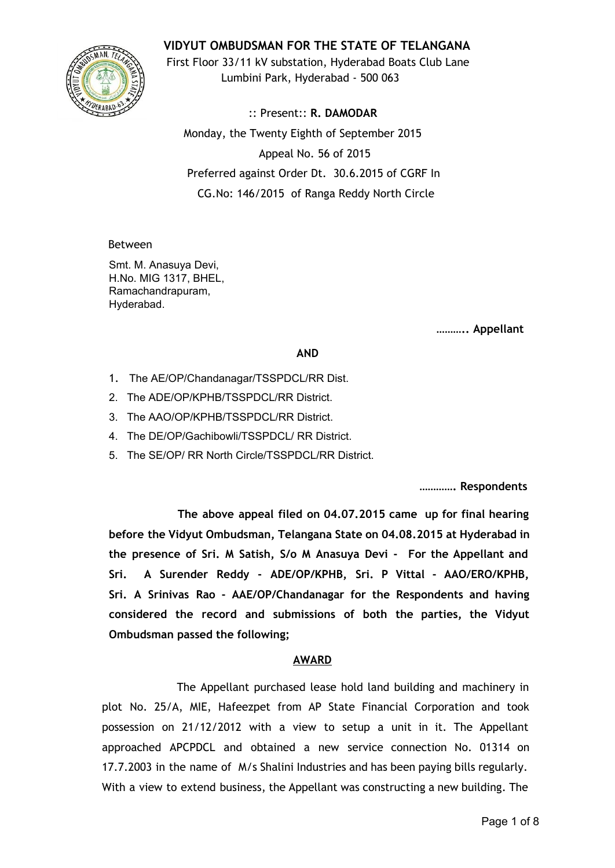## **VIDYUT OMBUDSMAN FOR THE STATE OF TELANGANA**



First Floor 33/11 kV substation, Hyderabad Boats Club Lane Lumbini Park, Hyderabad - 500 063

:: Present:: **R. DAMODAR** Monday, the Twenty Eighth of September 2015 Appeal No. 56 of 2015 Preferred against Order Dt. 30.6.2015 of CGRF In CG.No: 146/2015 of Ranga Reddy North Circle

#### Between

Smt. M. Anasuya Devi, H.No. MIG 1317, BHEL, Ramachandrapuram, Hyderabad.

**……….. Appellant**

#### **AND**

- 1. The AE/OP/Chandanagar/TSSPDCL/RR Dist.
- 2. The ADE/OP/KPHB/TSSPDCL/RR District.
- 3. The AAO/OP/KPHB/TSSPDCL/RR District.
- 4. The DE/OP/Gachibowli/TSSPDCL/ RR District.
- 5. The SE/OP/ RR North Circle/TSSPDCL/RR District.

**…………. Respondents**

**The above appeal filed on 04.07.2015 came up for final hearing before the Vidyut Ombudsman, Telangana State on 04.08.2015 at Hyderabad in the presence of Sri. M Satish, S/o M Anasuya Devi - For the Appellant and Sri. A Surender Reddy - ADE/OP/KPHB, Sri. P Vittal - AAO/ERO/KPHB, Sri. A Srinivas Rao - AAE/OP/Chandanagar for the Respondents and having considered the record and submissions of both the parties, the Vidyut Ombudsman passed the following;**

## **AWARD**

The Appellant purchased lease hold land building and machinery in plot No. 25/A, MIE, Hafeezpet from AP State Financial Corporation and took possession on 21/12/2012 with a view to setup a unit in it. The Appellant approached APCPDCL and obtained a new service connection No. 01314 on 17.7.2003 in the name of M/s Shalini Industries and has been paying bills regularly. With a view to extend business, the Appellant was constructing a new building. The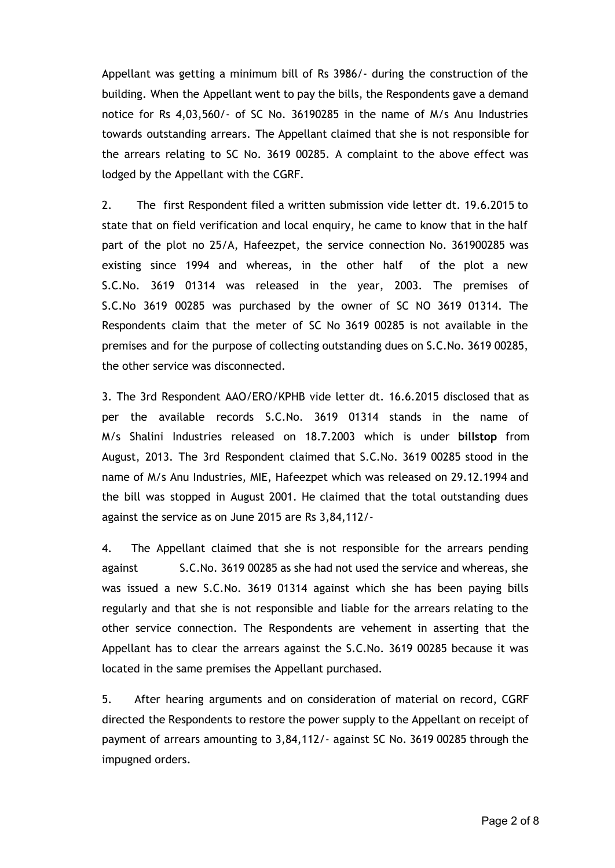Appellant was getting a minimum bill of Rs 3986/- during the construction of the building. When the Appellant went to pay the bills, the Respondents gave a demand notice for Rs 4,03,560/- of SC No. 36190285 in the name of M/s Anu Industries towards outstanding arrears. The Appellant claimed that she is not responsible for the arrears relating to SC No. 3619 00285. A complaint to the above effect was lodged by the Appellant with the CGRF.

2. The first Respondent filed a written submission vide letter dt. 19.6.2015 to state that on field verification and local enquiry, he came to know that in the half part of the plot no 25/A, Hafeezpet, the service connection No. 361900285 was existing since 1994 and whereas, in the other half of the plot a new S.C.No. 3619 01314 was released in the year, 2003. The premises of S.C.No 3619 00285 was purchased by the owner of SC NO 3619 01314. The Respondents claim that the meter of SC No 3619 00285 is not available in the premises and for the purpose of collecting outstanding dues on S.C.No. 3619 00285, the other service was disconnected.

3. The 3rd Respondent AAO/ERO/KPHB vide letter dt. 16.6.2015 disclosed that as per the available records S.C.No. 3619 01314 stands in the name of M/s Shalini Industries released on 18.7.2003 which is under **billstop** from August, 2013. The 3rd Respondent claimed that S.C.No. 3619 00285 stood in the name of M/s Anu Industries, MIE, Hafeezpet which was released on 29.12.1994 and the bill was stopped in August 2001. He claimed that the total outstanding dues against the service as on June 2015 are Rs 3,84,112/-

4. The Appellant claimed that she is not responsible for the arrears pending against S.C.No. 3619 00285 as she had not used the service and whereas, she was issued a new S.C.No. 3619 01314 against which she has been paying bills regularly and that she is not responsible and liable for the arrears relating to the other service connection. The Respondents are vehement in asserting that the Appellant has to clear the arrears against the S.C.No. 3619 00285 because it was located in the same premises the Appellant purchased.

5. After hearing arguments and on consideration of material on record, CGRF directed the Respondents to restore the power supply to the Appellant on receipt of payment of arrears amounting to 3,84,112/- against SC No. 3619 00285 through the impugned orders.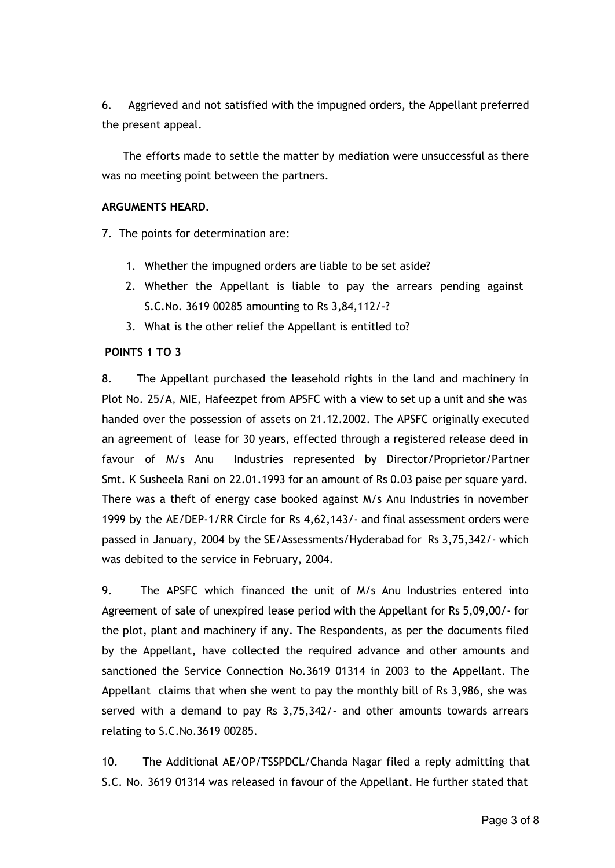6. Aggrieved and not satisfied with the impugned orders, the Appellant preferred the present appeal.

The efforts made to settle the matter by mediation were unsuccessful as there was no meeting point between the partners.

#### **ARGUMENTS HEARD.**

7. The points for determination are:

- 1. Whether the impugned orders are liable to be set aside?
- 2. Whether the Appellant is liable to pay the arrears pending against S.C.No. 3619 00285 amounting to Rs 3,84,112/-?
- 3. What is the other relief the Appellant is entitled to?

## **POINTS 1 TO 3**

8. The Appellant purchased the leasehold rights in the land and machinery in Plot No. 25/A, MIE, Hafeezpet from APSFC with a view to set up a unit and she was handed over the possession of assets on 21.12.2002. The APSFC originally executed an agreement of lease for 30 years, effected through a registered release deed in favour of M/s Anu Industries represented by Director/Proprietor/Partner Smt. K Susheela Rani on 22.01.1993 for an amount of Rs 0.03 paise per square yard. There was a theft of energy case booked against M/s Anu Industries in november 1999 by the AE/DEP-1/RR Circle for Rs 4,62,143/- and final assessment orders were passed in January, 2004 by the SE/Assessments/Hyderabad for Rs 3,75,342/- which was debited to the service in February, 2004.

9. The APSFC which financed the unit of M/s Anu Industries entered into Agreement of sale of unexpired lease period with the Appellant for Rs 5,09,00/- for the plot, plant and machinery if any. The Respondents, as per the documents filed by the Appellant, have collected the required advance and other amounts and sanctioned the Service Connection No.3619 01314 in 2003 to the Appellant. The Appellant claims that when she went to pay the monthly bill of Rs 3,986, she was served with a demand to pay Rs 3,75,342/- and other amounts towards arrears relating to S.C.No.3619 00285.

10. The Additional AE/OP/TSSPDCL/Chanda Nagar filed a reply admitting that S.C. No. 3619 01314 was released in favour of the Appellant. He further stated that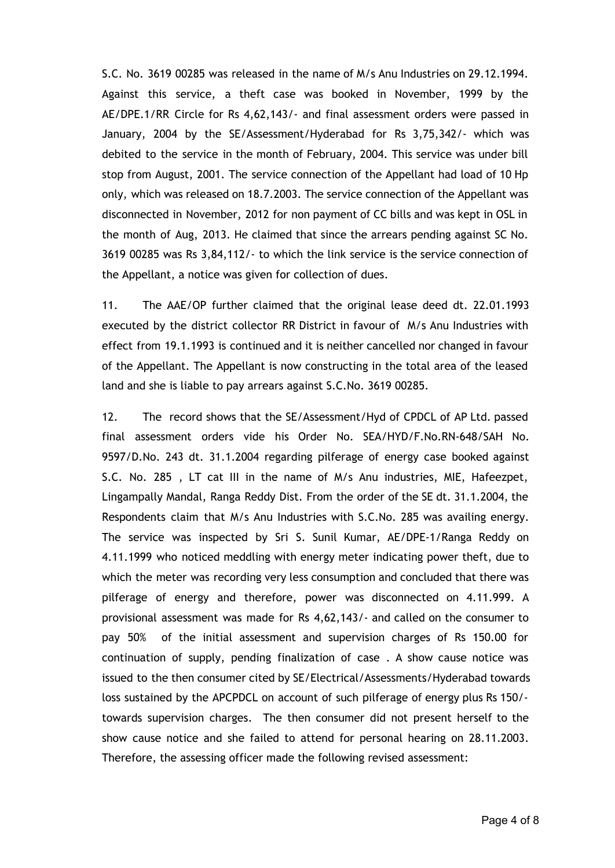S.C. No. 3619 00285 was released in the name of M/s Anu Industries on 29.12.1994. Against this service, a theft case was booked in November, 1999 by the AE/DPE.1/RR Circle for Rs 4,62,143/- and final assessment orders were passed in January, 2004 by the SE/Assessment/Hyderabad for Rs 3,75,342/- which was debited to the service in the month of February, 2004. This service was under bill stop from August, 2001. The service connection of the Appellant had load of 10 Hp only, which was released on 18.7.2003. The service connection of the Appellant was disconnected in November, 2012 for non payment of CC bills and was kept in OSL in the month of Aug, 2013. He claimed that since the arrears pending against SC No. 3619 00285 was Rs 3,84,112/- to which the link service is the service connection of the Appellant, a notice was given for collection of dues.

11. The AAE/OP further claimed that the original lease deed dt. 22.01.1993 executed by the district collector RR District in favour of M/s Anu Industries with effect from 19.1.1993 is continued and it is neither cancelled nor changed in favour of the Appellant. The Appellant is now constructing in the total area of the leased land and she is liable to pay arrears against S.C.No. 3619 00285.

12. The record shows that the SE/Assessment/Hyd of CPDCL of AP Ltd. passed final assessment orders vide his Order No. SEA/HYD/F.No.RN-648/SAH No. 9597/D.No. 243 dt. 31.1.2004 regarding pilferage of energy case booked against S.C. No. 285 , LT cat III in the name of M/s Anu industries, MIE, Hafeezpet, Lingampally Mandal, Ranga Reddy Dist. From the order of the SE dt. 31.1.2004, the Respondents claim that M/s Anu Industries with S.C.No. 285 was availing energy. The service was inspected by Sri S. Sunil Kumar, AE/DPE-1/Ranga Reddy on 4.11.1999 who noticed meddling with energy meter indicating power theft, due to which the meter was recording very less consumption and concluded that there was pilferage of energy and therefore, power was disconnected on 4.11.999. A provisional assessment was made for Rs 4,62,143/- and called on the consumer to pay 50% of the initial assessment and supervision charges of Rs 150.00 for continuation of supply, pending finalization of case . A show cause notice was issued to the then consumer cited by SE/Electrical/Assessments/Hyderabad towards loss sustained by the APCPDCL on account of such pilferage of energy plus Rs 150/ towards supervision charges. The then consumer did not present herself to the show cause notice and she failed to attend for personal hearing on 28.11.2003. Therefore, the assessing officer made the following revised assessment: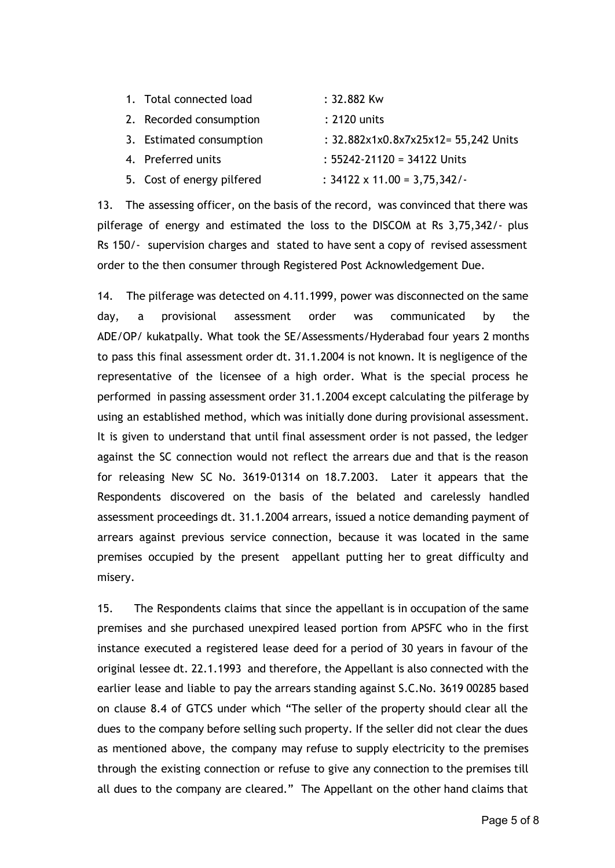| 1. Total connected load    | : 32.882 Kw                          |
|----------------------------|--------------------------------------|
| 2. Recorded consumption    | : 2120 units                         |
| 3. Estimated consumption   | : 32.882x1x0.8x7x25x12= 55,242 Units |
| 4. Preferred units         | $: 55242 - 21120 = 34122$ Units      |
| 5. Cost of energy pilfered | : $34122 \times 11.00 = 3,75,342/$   |

13. The assessing officer, on the basis of the record, was convinced that there was pilferage of energy and estimated the loss to the DISCOM at Rs 3,75,342/- plus Rs 150/- supervision charges and stated to have sent a copy of revised assessment order to the then consumer through Registered Post Acknowledgement Due.

14. The pilferage was detected on 4.11.1999, power was disconnected on the same day, a provisional assessment order was communicated by the ADE/OP/ kukatpally. What took the SE/Assessments/Hyderabad four years 2 months to pass this final assessment order dt. 31.1.2004 is not known. It is negligence of the representative of the licensee of a high order. What is the special process he performed in passing assessment order 31.1.2004 except calculating the pilferage by using an established method, which was initially done during provisional assessment. It is given to understand that until final assessment order is not passed, the ledger against the SC connection would not reflect the arrears due and that is the reason for releasing New SC No. 3619-01314 on 18.7.2003. Later it appears that the Respondents discovered on the basis of the belated and carelessly handled assessment proceedings dt. 31.1.2004 arrears, issued a notice demanding payment of arrears against previous service connection, because it was located in the same premises occupied by the present appellant putting her to great difficulty and misery.

15. The Respondents claims that since the appellant is in occupation of the same premises and she purchased unexpired leased portion from APSFC who in the first instance executed a registered lease deed for a period of 30 years in favour of the original lessee dt. 22.1.1993 and therefore, the Appellant is also connected with the earlier lease and liable to pay the arrears standing against S.C.No. 3619 00285 based on clause 8.4 of GTCS under which "The seller of the property should clear all the dues to the company before selling such property. If the seller did not clear the dues as mentioned above, the company may refuse to supply electricity to the premises through the existing connection or refuse to give any connection to the premises till all dues to the company are cleared." The Appellant on the other hand claims that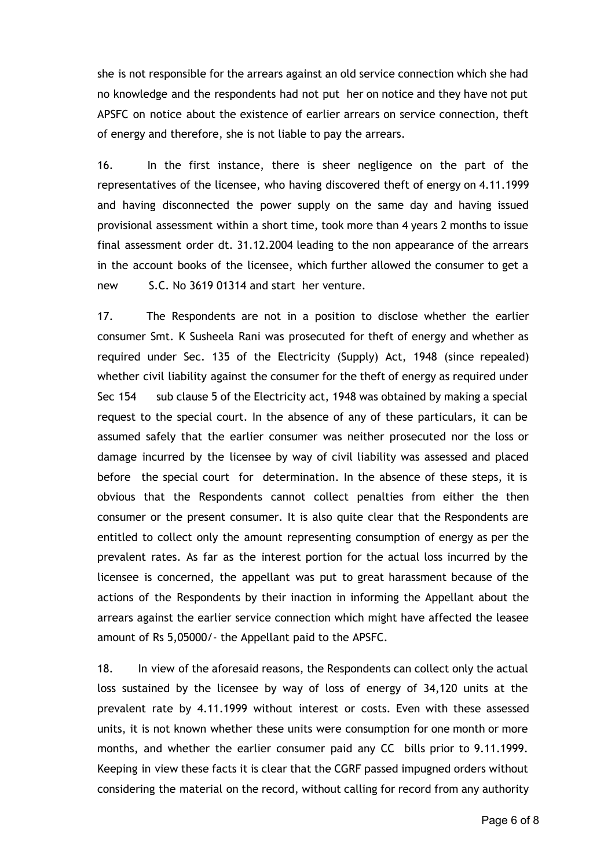she is not responsible for the arrears against an old service connection which she had no knowledge and the respondents had not put her on notice and they have not put APSFC on notice about the existence of earlier arrears on service connection, theft of energy and therefore, she is not liable to pay the arrears.

16. In the first instance, there is sheer negligence on the part of the representatives of the licensee, who having discovered theft of energy on 4.11.1999 and having disconnected the power supply on the same day and having issued provisional assessment within a short time, took more than 4 years 2 months to issue final assessment order dt. 31.12.2004 leading to the non appearance of the arrears in the account books of the licensee, which further allowed the consumer to get a new S.C. No 3619 01314 and start her venture.

17. The Respondents are not in a position to disclose whether the earlier consumer Smt. K Susheela Rani was prosecuted for theft of energy and whether as required under Sec. 135 of the Electricity (Supply) Act, 1948 (since repealed) whether civil liability against the consumer for the theft of energy as required under Sec 154 sub clause 5 of the Electricity act, 1948 was obtained by making a special request to the special court. In the absence of any of these particulars, it can be assumed safely that the earlier consumer was neither prosecuted nor the loss or damage incurred by the licensee by way of civil liability was assessed and placed before the special court for determination. In the absence of these steps, it is obvious that the Respondents cannot collect penalties from either the then consumer or the present consumer. It is also quite clear that the Respondents are entitled to collect only the amount representing consumption of energy as per the prevalent rates. As far as the interest portion for the actual loss incurred by the licensee is concerned, the appellant was put to great harassment because of the actions of the Respondents by their inaction in informing the Appellant about the arrears against the earlier service connection which might have affected the leasee amount of Rs 5,05000/- the Appellant paid to the APSFC.

18. In view of the aforesaid reasons, the Respondents can collect only the actual loss sustained by the licensee by way of loss of energy of 34,120 units at the prevalent rate by 4.11.1999 without interest or costs. Even with these assessed units, it is not known whether these units were consumption for one month or more months, and whether the earlier consumer paid any CC bills prior to 9.11.1999. Keeping in view these facts it is clear that the CGRF passed impugned orders without considering the material on the record, without calling for record from any authority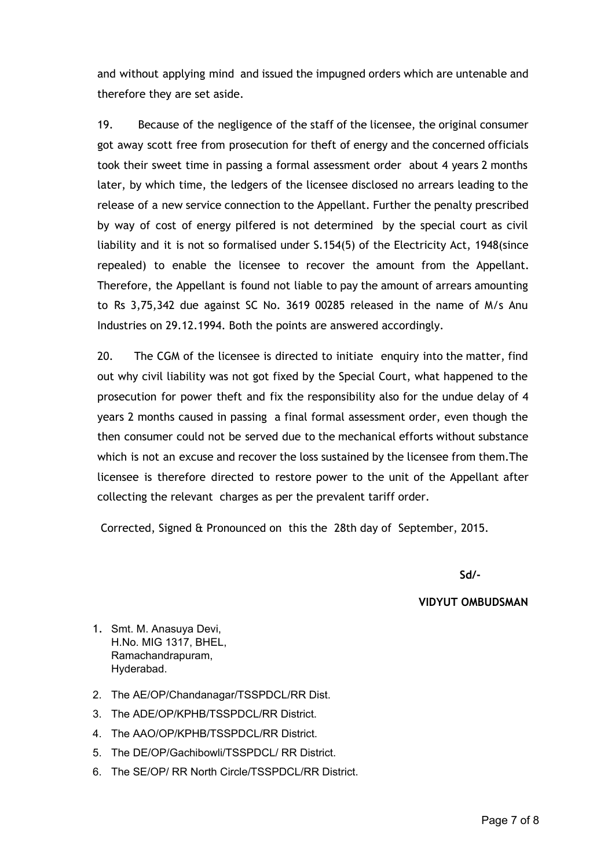and without applying mind and issued the impugned orders which are untenable and therefore they are set aside.

19. Because of the negligence of the staff of the licensee, the original consumer got away scott free from prosecution for theft of energy and the concerned officials took their sweet time in passing a formal assessment order about 4 years 2 months later, by which time, the ledgers of the licensee disclosed no arrears leading to the release of a new service connection to the Appellant. Further the penalty prescribed by way of cost of energy pilfered is not determined by the special court as civil liability and it is not so formalised under S.154(5) of the Electricity Act, 1948(since repealed) to enable the licensee to recover the amount from the Appellant. Therefore, the Appellant is found not liable to pay the amount of arrears amounting to Rs 3,75,342 due against SC No. 3619 00285 released in the name of M/s Anu Industries on 29.12.1994. Both the points are answered accordingly.

20. The CGM of the licensee is directed to initiate enquiry into the matter, find out why civil liability was not got fixed by the Special Court, what happened to the prosecution for power theft and fix the responsibility also for the undue delay of 4 years 2 months caused in passing a final formal assessment order, even though the then consumer could not be served due to the mechanical efforts without substance which is not an excuse and recover the loss sustained by the licensee from them.The licensee is therefore directed to restore power to the unit of the Appellant after collecting the relevant charges as per the prevalent tariff order.

Corrected, Signed & Pronounced on this the 28th day of September, 2015.

**Sd/-**

## **VIDYUT OMBUDSMAN**

- 1. Smt. M. Anasuya Devi, H.No. MIG 1317, BHEL, Ramachandrapuram, Hyderabad.
- 2. The AE/OP/Chandanagar/TSSPDCL/RR Dist.
- 3. The ADE/OP/KPHB/TSSPDCL/RR District.
- 4. The AAO/OP/KPHB/TSSPDCL/RR District.
- 5. The DE/OP/Gachibowli/TSSPDCL/ RR District.
- 6. The SE/OP/ RR North Circle/TSSPDCL/RR District.